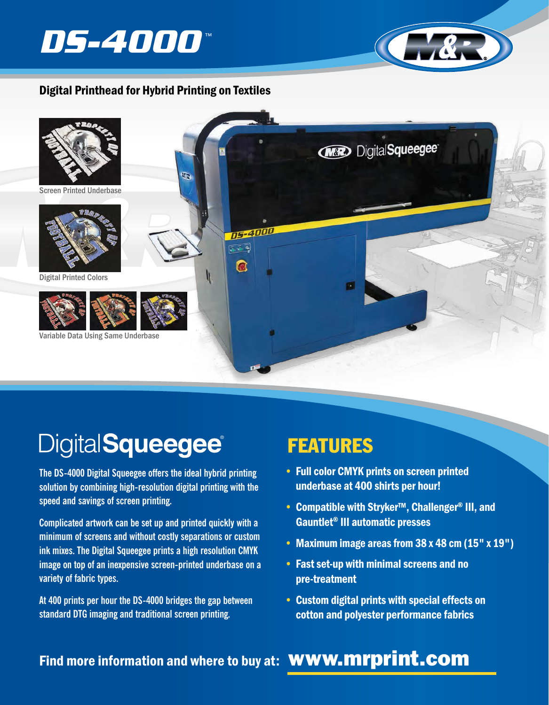



#### Digital Printhead for Hybrid Printing on Textiles



# **DigitalSqueegee®**

**The DS-4000 Digital Squeegee offers the ideal hybrid printing solution by combining high-resolution digital printing with the speed and savings of screen printing.** 

**Complicated artwork can be set up and printed quickly with a minimum of screens and without costly separations or custom ink mixes. The Digital Squeegee prints a high resolution CMYK image on top of an inexpensive screen-printed underbase on a variety of fabric types.**

**At 400 prints per hour the DS-4000 bridges the gap between standard DTG imaging and traditional screen printing.**

## FEATURES

- Full color CMYK prints on screen printed underbase at 400 shirts per hour!
- Compatible with Stryker™, Challenger® III, and Gauntlet® III automatic presses
- Maximum image areas from 38 x 48 cm (15" x 19")
- Fast set-up with minimal screens and no pre-treatment
- Custom digital prints with special effects on cotton and polyester performance fabrics

### Find more information and where to buy at: **WWW.mrprint.com**